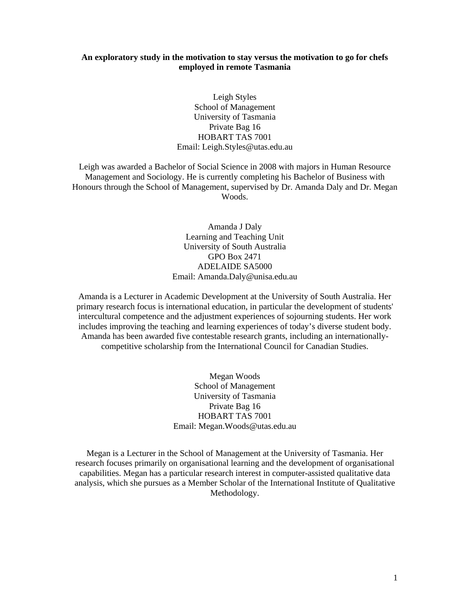## **An exploratory study in the motivation to stay versus the motivation to go for chefs employed in remote Tasmania**

Leigh Styles School of Management University of Tasmania Private Bag 16 HOBART TAS 7001 Email: Leigh.Styles@utas.edu.au

Leigh was awarded a Bachelor of Social Science in 2008 with majors in Human Resource Management and Sociology. He is currently completing his Bachelor of Business with Honours through the School of Management, supervised by Dr. Amanda Daly and Dr. Megan Woods.

> Amanda J Daly Learning and Teaching Unit University of South Australia GPO Box 2471 ADELAIDE SA5000 Email: Amanda.Daly@unisa.edu.au

Amanda is a Lecturer in Academic Development at the University of South Australia. Her primary research focus is international education, in particular the development of students' intercultural competence and the adjustment experiences of sojourning students. Her work includes improving the teaching and learning experiences of today's diverse student body. Amanda has been awarded five contestable research grants, including an internationallycompetitive scholarship from the International Council for Canadian Studies.

> Megan Woods School of Management University of Tasmania Private Bag 16 HOBART TAS 7001 Email: Megan.Woods@utas.edu.au

Megan is a Lecturer in the School of Management at the University of Tasmania. Her research focuses primarily on organisational learning and the development of organisational capabilities. Megan has a particular research interest in computer-assisted qualitative data analysis, which she pursues as a Member Scholar of the International Institute of Qualitative Methodology.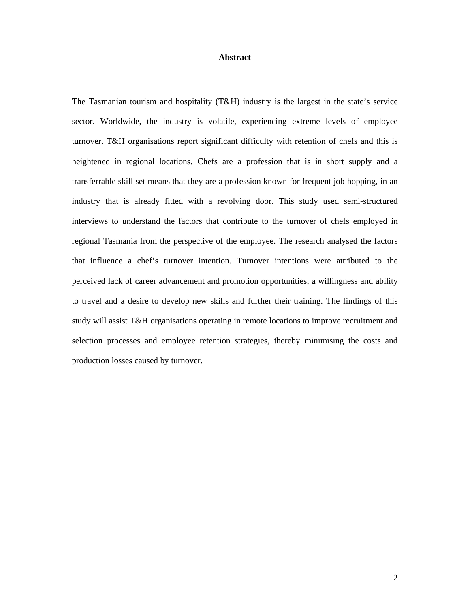## **Abstract**

The Tasmanian tourism and hospitality (T&H) industry is the largest in the state's service sector. Worldwide, the industry is volatile, experiencing extreme levels of employee turnover. T&H organisations report significant difficulty with retention of chefs and this is heightened in regional locations. Chefs are a profession that is in short supply and a transferrable skill set means that they are a profession known for frequent job hopping, in an industry that is already fitted with a revolving door. This study used semi-structured interviews to understand the factors that contribute to the turnover of chefs employed in regional Tasmania from the perspective of the employee. The research analysed the factors that influence a chef's turnover intention. Turnover intentions were attributed to the perceived lack of career advancement and promotion opportunities, a willingness and ability to travel and a desire to develop new skills and further their training. The findings of this study will assist T&H organisations operating in remote locations to improve recruitment and selection processes and employee retention strategies, thereby minimising the costs and production losses caused by turnover.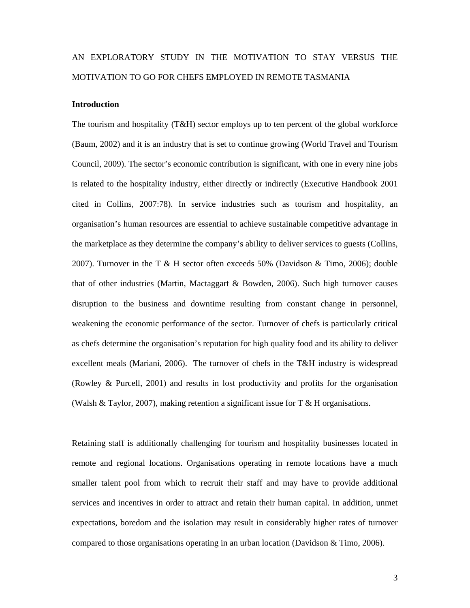# AN EXPLORATORY STUDY IN THE MOTIVATION TO STAY VERSUS THE MOTIVATION TO GO FOR CHEFS EMPLOYED IN REMOTE TASMANIA

## **Introduction**

The tourism and hospitality (T&H) sector employs up to ten percent of the global workforce (Baum, 2002) and it is an industry that is set to continue growing (World Travel and Tourism Council, 2009). The sector's economic contribution is significant, with one in every nine jobs is related to the hospitality industry, either directly or indirectly (Executive Handbook 2001 cited in Collins, 2007:78). In service industries such as tourism and hospitality, an organisation's human resources are essential to achieve sustainable competitive advantage in the marketplace as they determine the company's ability to deliver services to guests (Collins, 2007). Turnover in the T  $\&$  H sector often exceeds 50% (Davidson  $\&$  Timo, 2006); double that of other industries (Martin, Mactaggart & Bowden, 2006). Such high turnover causes disruption to the business and downtime resulting from constant change in personnel, weakening the economic performance of the sector. Turnover of chefs is particularly critical as chefs determine the organisation's reputation for high quality food and its ability to deliver excellent meals (Mariani, 2006). The turnover of chefs in the T&H industry is widespread (Rowley & Purcell, 2001) and results in lost productivity and profits for the organisation (Walsh & Taylor, 2007), making retention a significant issue for  $T \& H$  organisations.

Retaining staff is additionally challenging for tourism and hospitality businesses located in remote and regional locations. Organisations operating in remote locations have a much smaller talent pool from which to recruit their staff and may have to provide additional services and incentives in order to attract and retain their human capital. In addition, unmet expectations, boredom and the isolation may result in considerably higher rates of turnover compared to those organisations operating in an urban location (Davidson & Timo, 2006).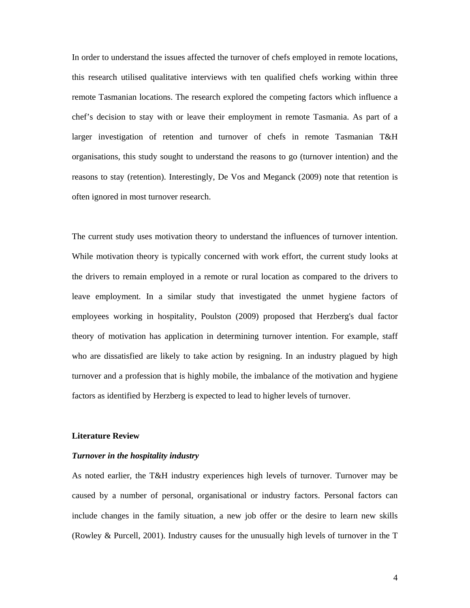In order to understand the issues affected the turnover of chefs employed in remote locations, this research utilised qualitative interviews with ten qualified chefs working within three remote Tasmanian locations. The research explored the competing factors which influence a chef's decision to stay with or leave their employment in remote Tasmania. As part of a larger investigation of retention and turnover of chefs in remote Tasmanian T&H organisations, this study sought to understand the reasons to go (turnover intention) and the reasons to stay (retention). Interestingly, De Vos and Meganck (2009) note that retention is often ignored in most turnover research.

The current study uses motivation theory to understand the influences of turnover intention. While motivation theory is typically concerned with work effort, the current study looks at the drivers to remain employed in a remote or rural location as compared to the drivers to leave employment. In a similar study that investigated the unmet hygiene factors of employees working in hospitality, Poulston (2009) proposed that Herzberg's dual factor theory of motivation has application in determining turnover intention. For example, staff who are dissatisfied are likely to take action by resigning. In an industry plagued by high turnover and a profession that is highly mobile, the imbalance of the motivation and hygiene factors as identified by Herzberg is expected to lead to higher levels of turnover.

#### **Literature Review**

## *Turnover in the hospitality industry*

As noted earlier, the T&H industry experiences high levels of turnover. Turnover may be caused by a number of personal, organisational or industry factors. Personal factors can include changes in the family situation, a new job offer or the desire to learn new skills (Rowley & Purcell, 2001). Industry causes for the unusually high levels of turnover in the T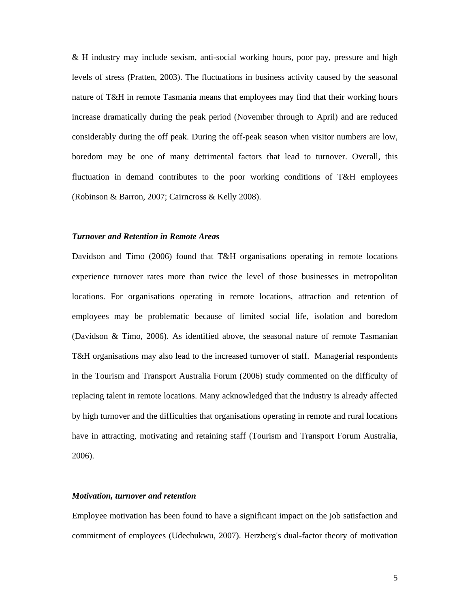& H industry may include sexism, anti-social working hours, poor pay, pressure and high levels of stress (Pratten, 2003). The fluctuations in business activity caused by the seasonal nature of T&H in remote Tasmania means that employees may find that their working hours increase dramatically during the peak period (November through to April) and are reduced considerably during the off peak. During the off-peak season when visitor numbers are low, boredom may be one of many detrimental factors that lead to turnover. Overall, this fluctuation in demand contributes to the poor working conditions of T&H employees (Robinson & Barron, 2007; Cairncross & Kelly 2008).

## *Turnover and Retention in Remote Areas*

Davidson and Timo (2006) found that T&H organisations operating in remote locations experience turnover rates more than twice the level of those businesses in metropolitan locations. For organisations operating in remote locations, attraction and retention of employees may be problematic because of limited social life, isolation and boredom (Davidson & Timo, 2006). As identified above, the seasonal nature of remote Tasmanian T&H organisations may also lead to the increased turnover of staff. Managerial respondents in the Tourism and Transport Australia Forum (2006) study commented on the difficulty of replacing talent in remote locations. Many acknowledged that the industry is already affected by high turnover and the difficulties that organisations operating in remote and rural locations have in attracting, motivating and retaining staff (Tourism and Transport Forum Australia, 2006).

## *Motivation, turnover and retention*

Employee motivation has been found to have a significant impact on the job satisfaction and commitment of employees (Udechukwu, 2007). Herzberg's dual-factor theory of motivation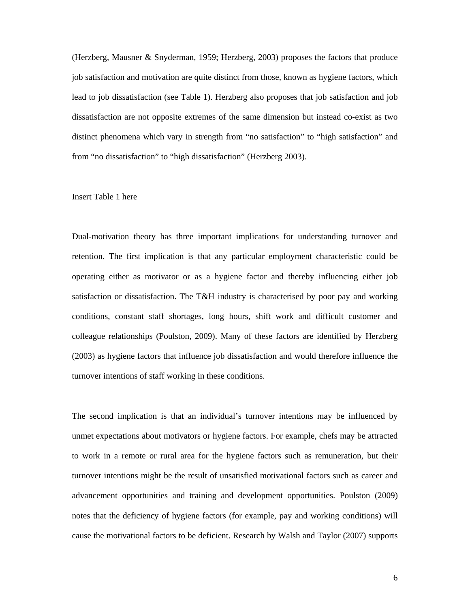(Herzberg, Mausner & Snyderman, 1959; Herzberg, 2003) proposes the factors that produce job satisfaction and motivation are quite distinct from those, known as hygiene factors, which lead to job dissatisfaction (see Table 1). Herzberg also proposes that job satisfaction and job dissatisfaction are not opposite extremes of the same dimension but instead co-exist as two distinct phenomena which vary in strength from "no satisfaction" to "high satisfaction" and from "no dissatisfaction" to "high dissatisfaction" (Herzberg 2003).

## Insert Table 1 here

Dual-motivation theory has three important implications for understanding turnover and retention. The first implication is that any particular employment characteristic could be operating either as motivator or as a hygiene factor and thereby influencing either job satisfaction or dissatisfaction. The T&H industry is characterised by poor pay and working conditions, constant staff shortages, long hours, shift work and difficult customer and colleague relationships (Poulston, 2009). Many of these factors are identified by Herzberg (2003) as hygiene factors that influence job dissatisfaction and would therefore influence the turnover intentions of staff working in these conditions.

The second implication is that an individual's turnover intentions may be influenced by unmet expectations about motivators or hygiene factors. For example, chefs may be attracted to work in a remote or rural area for the hygiene factors such as remuneration, but their turnover intentions might be the result of unsatisfied motivational factors such as career and advancement opportunities and training and development opportunities. Poulston (2009) notes that the deficiency of hygiene factors (for example, pay and working conditions) will cause the motivational factors to be deficient. Research by Walsh and Taylor (2007) supports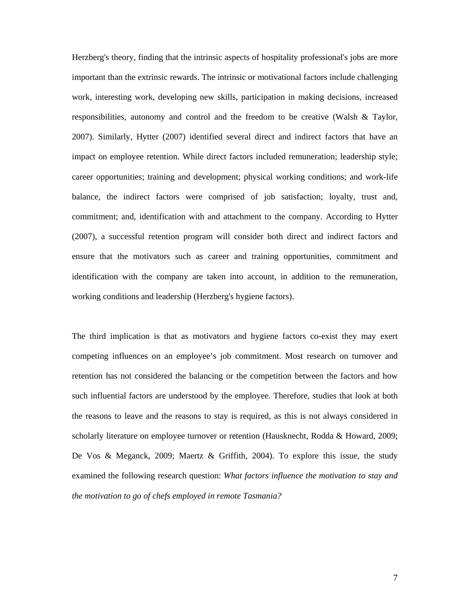Herzberg's theory, finding that the intrinsic aspects of hospitality professional's jobs are more important than the extrinsic rewards. The intrinsic or motivational factors include challenging work, interesting work, developing new skills, participation in making decisions, increased responsibilities, autonomy and control and the freedom to be creative (Walsh & Taylor, 2007). Similarly, Hytter (2007) identified several direct and indirect factors that have an impact on employee retention. While direct factors included remuneration; leadership style; career opportunities; training and development; physical working conditions; and work-life balance, the indirect factors were comprised of job satisfaction; loyalty, trust and, commitment; and, identification with and attachment to the company. According to Hytter (2007), a successful retention program will consider both direct and indirect factors and ensure that the motivators such as career and training opportunities, commitment and identification with the company are taken into account, in addition to the remuneration, working conditions and leadership (Herzberg's hygiene factors).

The third implication is that as motivators and hygiene factors co-exist they may exert competing influences on an employee's job commitment. Most research on turnover and retention has not considered the balancing or the competition between the factors and how such influential factors are understood by the employee. Therefore, studies that look at both the reasons to leave and the reasons to stay is required, as this is not always considered in scholarly literature on employee turnover or retention (Hausknecht, Rodda & Howard, 2009; De Vos & Meganck, 2009; Maertz & Griffith, 2004). To explore this issue, the study examined the following research question: *What factors influence the motivation to stay and the motivation to go of chefs employed in remote Tasmania?*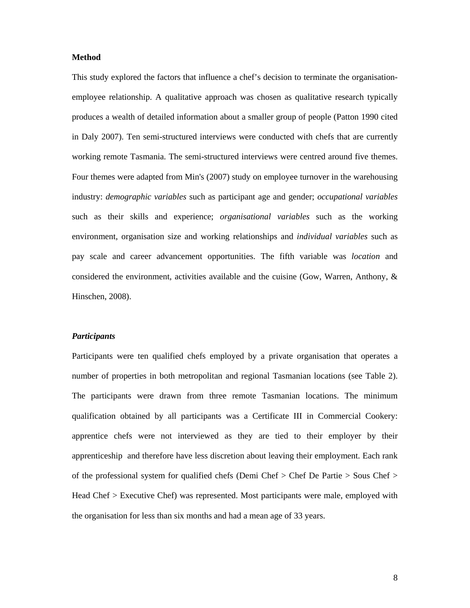## **Method**

This study explored the factors that influence a chef's decision to terminate the organisationemployee relationship. A qualitative approach was chosen as qualitative research typically produces a wealth of detailed information about a smaller group of people (Patton 1990 cited in Daly 2007). Ten semi-structured interviews were conducted with chefs that are currently working remote Tasmania. The semi-structured interviews were centred around five themes. Four themes were adapted from Min's (2007) study on employee turnover in the warehousing industry: *demographic variables* such as participant age and gender; *occupational variables* such as their skills and experience; *organisational variables* such as the working environment, organisation size and working relationships and *individual variables* such as pay scale and career advancement opportunities. The fifth variable was *location* and considered the environment, activities available and the cuisine (Gow, Warren, Anthony, & Hinschen, 2008).

## *Participants*

Participants were ten qualified chefs employed by a private organisation that operates a number of properties in both metropolitan and regional Tasmanian locations (see Table 2). The participants were drawn from three remote Tasmanian locations. The minimum qualification obtained by all participants was a Certificate III in Commercial Cookery: apprentice chefs were not interviewed as they are tied to their employer by their apprenticeship and therefore have less discretion about leaving their employment. Each rank of the professional system for qualified chefs (Demi Chef > Chef De Partie > Sous Chef > Head Chef > Executive Chef) was represented. Most participants were male, employed with the organisation for less than six months and had a mean age of 33 years.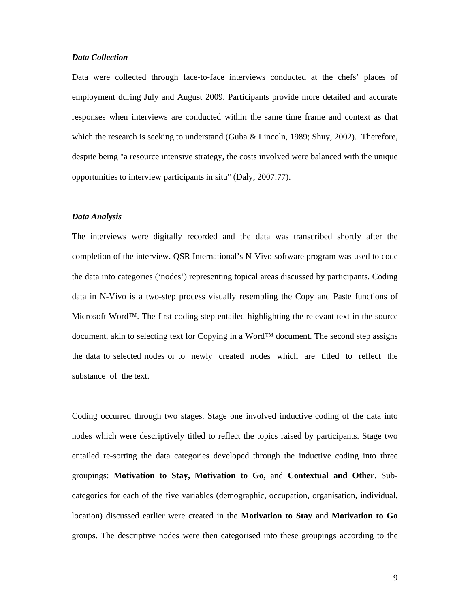## *Data Collection*

Data were collected through face-to-face interviews conducted at the chefs' places of employment during July and August 2009. Participants provide more detailed and accurate responses when interviews are conducted within the same time frame and context as that which the research is seeking to understand (Guba & Lincoln, 1989; Shuy, 2002). Therefore, despite being "a resource intensive strategy, the costs involved were balanced with the unique opportunities to interview participants in situ" (Daly, 2007:77).

### *Data Analysis*

The interviews were digitally recorded and the data was transcribed shortly after the completion of the interview. QSR International's N-Vivo software program was used to code the data into categories ('nodes') representing topical areas discussed by participants. Coding data in N-Vivo is a two-step process visually resembling the Copy and Paste functions of Microsoft Word™. The first coding step entailed highlighting the relevant text in the source document, akin to selecting text for Copying in a Word™ document. The second step assigns the data to selected nodes or to newly created nodes which are titled to reflect the substance of the text.

Coding occurred through two stages. Stage one involved inductive coding of the data into nodes which were descriptively titled to reflect the topics raised by participants. Stage two entailed re-sorting the data categories developed through the inductive coding into three groupings: **Motivation to Stay, Motivation to Go,** and **Contextual and Other**. Subcategories for each of the five variables (demographic, occupation, organisation, individual, location) discussed earlier were created in the **Motivation to Stay** and **Motivation to Go** groups. The descriptive nodes were then categorised into these groupings according to the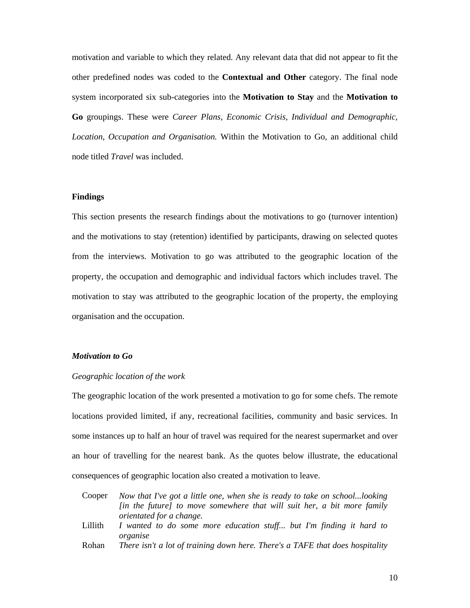motivation and variable to which they related. Any relevant data that did not appear to fit the other predefined nodes was coded to the **Contextual and Other** category. The final node system incorporated six sub-categories into the **Motivation to Stay** and the **Motivation to Go** groupings. These were *Career Plans*, *Economic Crisis, Individual and Demographic, Location, Occupation and Organisation.* Within the Motivation to Go, an additional child node titled *Travel* was included.

## **Findings**

This section presents the research findings about the motivations to go (turnover intention) and the motivations to stay (retention) identified by participants, drawing on selected quotes from the interviews. Motivation to go was attributed to the geographic location of the property, the occupation and demographic and individual factors which includes travel. The motivation to stay was attributed to the geographic location of the property, the employing organisation and the occupation.

## *Motivation to Go*

#### *Geographic location of the work*

The geographic location of the work presented a motivation to go for some chefs. The remote locations provided limited, if any, recreational facilities, community and basic services. In some instances up to half an hour of travel was required for the nearest supermarket and over an hour of travelling for the nearest bank. As the quotes below illustrate, the educational consequences of geographic location also created a motivation to leave.

| Cooper  | Now that I've got a little one, when she is ready to take on schoollooking      |
|---------|---------------------------------------------------------------------------------|
|         | [in the future] to move somewhere that will suit her, a bit more family         |
|         | <i>orientated for a change.</i>                                                 |
| Lillith | I wanted to do some more education stuff but I'm finding it hard to<br>organise |
| Rohan   | There isn't a lot of training down here. There's a TAFE that does hospitality   |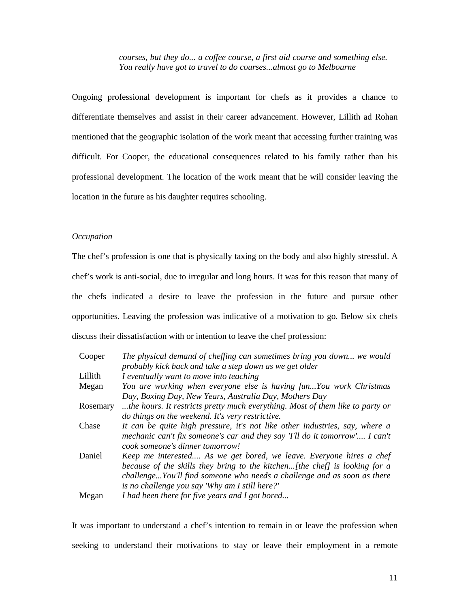*courses, but they do... a coffee course, a first aid course and something else. You really have got to travel to do courses...almost go to Melbourne* 

Ongoing professional development is important for chefs as it provides a chance to differentiate themselves and assist in their career advancement. However, Lillith ad Rohan mentioned that the geographic isolation of the work meant that accessing further training was difficult. For Cooper, the educational consequences related to his family rather than his professional development. The location of the work meant that he will consider leaving the location in the future as his daughter requires schooling.

## *Occupation*

The chef's profession is one that is physically taxing on the body and also highly stressful. A chef's work is anti-social, due to irregular and long hours. It was for this reason that many of the chefs indicated a desire to leave the profession in the future and pursue other opportunities. Leaving the profession was indicative of a motivation to go. Below six chefs discuss their dissatisfaction with or intention to leave the chef profession:

| Cooper   | The physical demand of cheffing can sometimes bring you down we would         |
|----------|-------------------------------------------------------------------------------|
|          | probably kick back and take a step down as we get older                       |
| Lillith  | I eventually want to move into teaching                                       |
| Megan    | You are working when everyone else is having funYou work Christmas            |
|          | Day, Boxing Day, New Years, Australia Day, Mothers Day                        |
| Rosemary | the hours. It restricts pretty much everything. Most of them like to party or |
|          | do things on the weekend. It's very restrictive.                              |
| Chase    | It can be quite high pressure, it's not like other industries, say, where a   |
|          | mechanic can't fix someone's car and they say T'll do it tomorrow' I can't    |
|          | cook someone's dinner tomorrow!                                               |
| Daniel   | Keep me interested As we get bored, we leave. Everyone hires a chef           |
|          | because of the skills they bring to the kitchen[the chef] is looking for a    |
|          | challengeYou'll find someone who needs a challenge and as soon as there       |
|          | is no challenge you say 'Why am I still here?'                                |
| Megan    | I had been there for five years and I got bored                               |

It was important to understand a chef's intention to remain in or leave the profession when seeking to understand their motivations to stay or leave their employment in a remote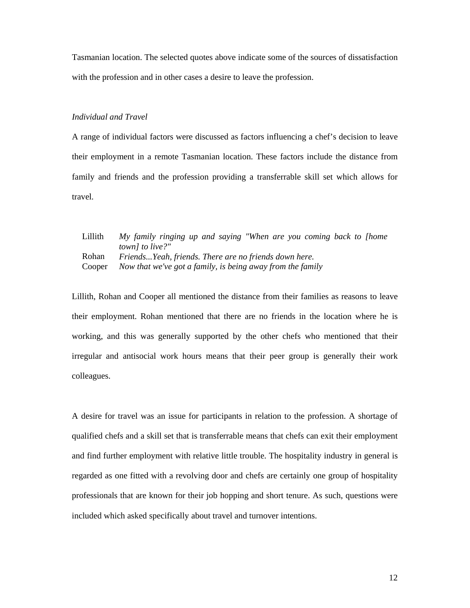Tasmanian location. The selected quotes above indicate some of the sources of dissatisfaction with the profession and in other cases a desire to leave the profession.

## *Individual and Travel*

A range of individual factors were discussed as factors influencing a chef's decision to leave their employment in a remote Tasmanian location. These factors include the distance from family and friends and the profession providing a transferrable skill set which allows for travel.

Lillith *My family ringing up and saying "When are you coming back to [home town] to live?"* Rohan *Friends...Yeah, friends. There are no friends down here.*  Cooper *Now that we've got a family, is being away from the family* 

Lillith, Rohan and Cooper all mentioned the distance from their families as reasons to leave their employment. Rohan mentioned that there are no friends in the location where he is working, and this was generally supported by the other chefs who mentioned that their irregular and antisocial work hours means that their peer group is generally their work colleagues.

A desire for travel was an issue for participants in relation to the profession. A shortage of qualified chefs and a skill set that is transferrable means that chefs can exit their employment and find further employment with relative little trouble. The hospitality industry in general is regarded as one fitted with a revolving door and chefs are certainly one group of hospitality professionals that are known for their job hopping and short tenure. As such, questions were included which asked specifically about travel and turnover intentions.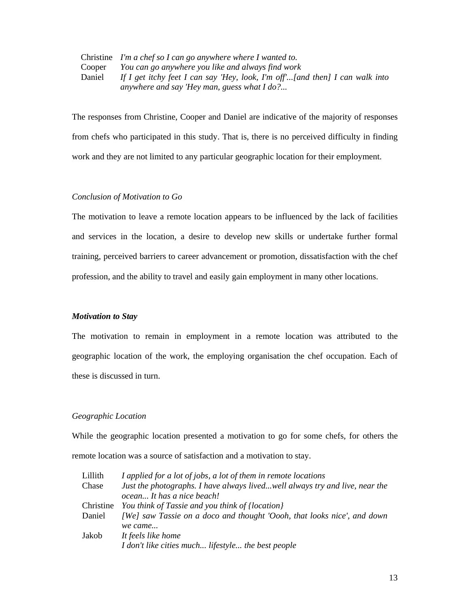Christine *I'm a chef so I can go anywhere where I wanted to.*  Cooper *You can go anywhere you like and always find work*  Daniel *If I get itchy feet I can say 'Hey, look, I'm off'...[and then] I can walk into anywhere and say 'Hey man, guess what I do?...* 

The responses from Christine, Cooper and Daniel are indicative of the majority of responses from chefs who participated in this study. That is, there is no perceived difficulty in finding work and they are not limited to any particular geographic location for their employment.

## *Conclusion of Motivation to Go*

The motivation to leave a remote location appears to be influenced by the lack of facilities and services in the location, a desire to develop new skills or undertake further formal training, perceived barriers to career advancement or promotion, dissatisfaction with the chef profession, and the ability to travel and easily gain employment in many other locations.

### *Motivation to Stay*

The motivation to remain in employment in a remote location was attributed to the geographic location of the work, the employing organisation the chef occupation. Each of these is discussed in turn.

## *Geographic Location*

While the geographic location presented a motivation to go for some chefs, for others the remote location was a source of satisfaction and a motivation to stay.

| Lillith   | I applied for a lot of jobs, a lot of them in remote locations              |  |  |  |  |
|-----------|-----------------------------------------------------------------------------|--|--|--|--|
| Chase     | Just the photographs. I have always livedwell always try and live, near the |  |  |  |  |
|           | ocean It has a nice beach!                                                  |  |  |  |  |
| Christine | You think of Tassie and you think of {location}                             |  |  |  |  |
| Daniel    | [We] saw Tassie on a doco and thought 'Oooh, that looks nice', and down     |  |  |  |  |
|           | we came                                                                     |  |  |  |  |
| Jakob     | It feels like home                                                          |  |  |  |  |
|           | I don't like cities much lifestyle the best people                          |  |  |  |  |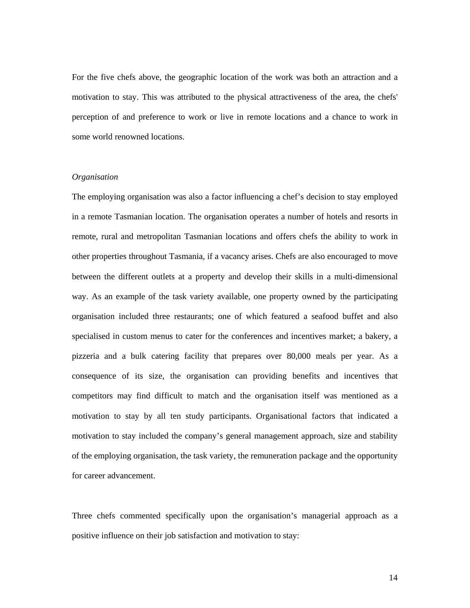For the five chefs above, the geographic location of the work was both an attraction and a motivation to stay. This was attributed to the physical attractiveness of the area, the chefs' perception of and preference to work or live in remote locations and a chance to work in some world renowned locations.

## *Organisation*

The employing organisation was also a factor influencing a chef's decision to stay employed in a remote Tasmanian location. The organisation operates a number of hotels and resorts in remote, rural and metropolitan Tasmanian locations and offers chefs the ability to work in other properties throughout Tasmania, if a vacancy arises. Chefs are also encouraged to move between the different outlets at a property and develop their skills in a multi-dimensional way. As an example of the task variety available, one property owned by the participating organisation included three restaurants; one of which featured a seafood buffet and also specialised in custom menus to cater for the conferences and incentives market; a bakery, a pizzeria and a bulk catering facility that prepares over 80,000 meals per year. As a consequence of its size, the organisation can providing benefits and incentives that competitors may find difficult to match and the organisation itself was mentioned as a motivation to stay by all ten study participants. Organisational factors that indicated a motivation to stay included the company's general management approach, size and stability of the employing organisation, the task variety, the remuneration package and the opportunity for career advancement.

Three chefs commented specifically upon the organisation's managerial approach as a positive influence on their job satisfaction and motivation to stay: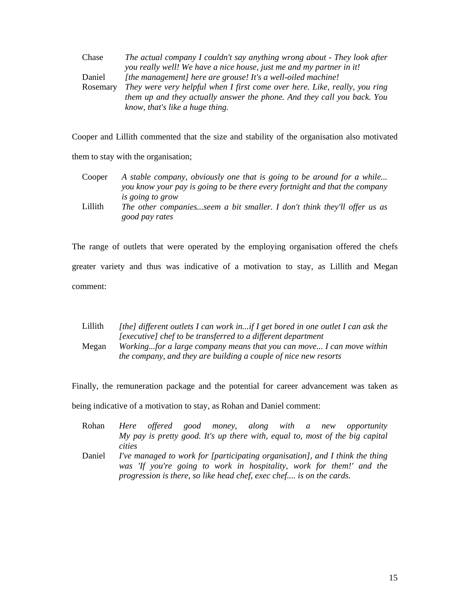| Chase    | The actual company I couldn't say anything wrong about - They look after   |
|----------|----------------------------------------------------------------------------|
|          | you really well! We have a nice house, just me and my partner in it!       |
| Daniel   | [the management] here are grouse! It's a well-oiled machine!               |
| Rosemary | They were very helpful when I first come over here. Like, really, you ring |
|          | them up and they actually answer the phone. And they call you back. You    |
|          | know, that's like a huge thing.                                            |

Cooper and Lillith commented that the size and stability of the organisation also motivated

them to stay with the organisation;

Cooper *A stable company, obviously one that is going to be around for a while... you know your pay is going to be there every fortnight and that the company is going to grow* Lillith *The other companies...seem a bit smaller. I don't think they'll offer us as good pay rates* 

The range of outlets that were operated by the employing organisation offered the chefs greater variety and thus was indicative of a motivation to stay, as Lillith and Megan comment:

| [the] different outlets I can work inif I get bored in one outlet I can ask the |
|---------------------------------------------------------------------------------|
| [executive] chef to be transferred to a different department                    |
| Workingfor a large company means that you can move I can move within            |
| the company, and they are building a couple of nice new resorts                 |
|                                                                                 |

Finally, the remuneration package and the potential for career advancement was taken as

being indicative of a motivation to stay, as Rohan and Daniel comment:

- Rohan *Here offered good money, along with a new opportunity My pay is pretty good. It's up there with, equal to, most of the big capital cities*
- Daniel *I've managed to work for [participating organisation], and I think the thing was 'If you're going to work in hospitality, work for them!' and the progression is there, so like head chef, exec chef.... is on the cards.*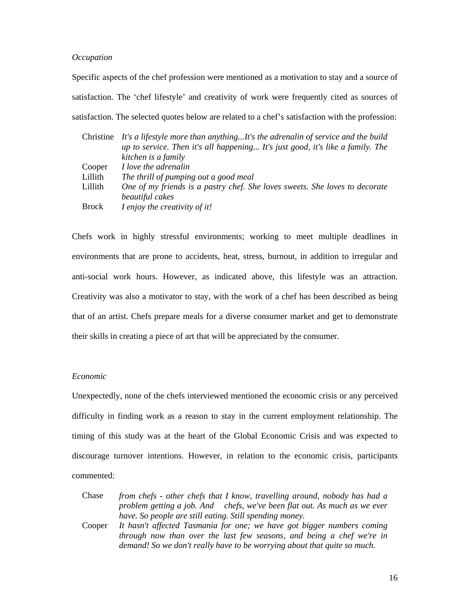## *Occupation*

Specific aspects of the chef profession were mentioned as a motivation to stay and a source of satisfaction. The 'chef lifestyle' and creativity of work were frequently cited as sources of satisfaction. The selected quotes below are related to a chef's satisfaction with the profession:

| Christine    | It's a lifestyle more than anythingIt's the adrenalin of service and the build |  |  |  |  |  |
|--------------|--------------------------------------------------------------------------------|--|--|--|--|--|
|              | up to service. Then it's all happening It's just good, it's like a family. The |  |  |  |  |  |
|              | kitchen is a family                                                            |  |  |  |  |  |
| Cooper       | I love the adrenalin                                                           |  |  |  |  |  |
| Lillith      | The thrill of pumping out a good meal                                          |  |  |  |  |  |
| Lillith      | One of my friends is a pastry chef. She loves sweets. She loves to decorate    |  |  |  |  |  |
|              | beautiful cakes                                                                |  |  |  |  |  |
| <b>Brock</b> | I enjoy the creativity of it!                                                  |  |  |  |  |  |

Chefs work in highly stressful environments; working to meet multiple deadlines in environments that are prone to accidents, heat, stress, burnout, in addition to irregular and anti-social work hours. However, as indicated above, this lifestyle was an attraction. Creativity was also a motivator to stay, with the work of a chef has been described as being that of an artist. Chefs prepare meals for a diverse consumer market and get to demonstrate their skills in creating a piece of art that will be appreciated by the consumer.

## *Economic*

Unexpectedly, none of the chefs interviewed mentioned the economic crisis or any perceived difficulty in finding work as a reason to stay in the current employment relationship. The timing of this study was at the heart of the Global Economic Crisis and was expected to discourage turnover intentions. However, in relation to the economic crisis, participants commented:

| Chase  | from chefs - other chefs that I know, travelling around, nobody has had a |  |  |  |  |
|--------|---------------------------------------------------------------------------|--|--|--|--|
|        | problem getting a job. And chefs, we've been flat out. As much as we ever |  |  |  |  |
|        | have. So people are still eating. Still spending money.                   |  |  |  |  |
| Cooper | It hasn't affected Tasmania for one; we have got bigger numbers coming    |  |  |  |  |
|        | through now than over the last few seasons, and being a chef we're in     |  |  |  |  |
|        | demand! So we don't really have to be worrying about that quite so much.  |  |  |  |  |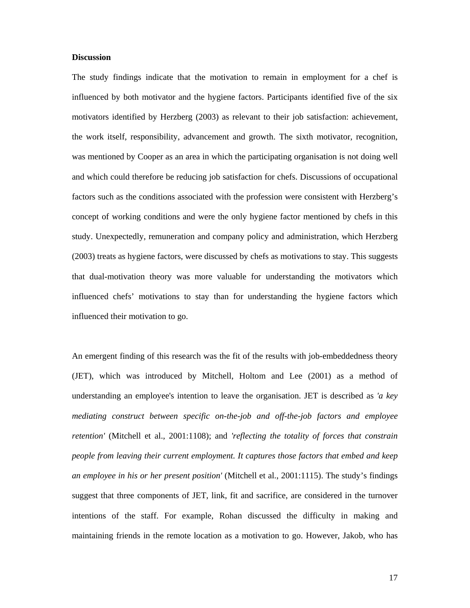## **Discussion**

The study findings indicate that the motivation to remain in employment for a chef is influenced by both motivator and the hygiene factors. Participants identified five of the six motivators identified by Herzberg (2003) as relevant to their job satisfaction: achievement, the work itself, responsibility, advancement and growth. The sixth motivator, recognition, was mentioned by Cooper as an area in which the participating organisation is not doing well and which could therefore be reducing job satisfaction for chefs. Discussions of occupational factors such as the conditions associated with the profession were consistent with Herzberg's concept of working conditions and were the only hygiene factor mentioned by chefs in this study. Unexpectedly, remuneration and company policy and administration, which Herzberg (2003) treats as hygiene factors, were discussed by chefs as motivations to stay. This suggests that dual-motivation theory was more valuable for understanding the motivators which influenced chefs' motivations to stay than for understanding the hygiene factors which influenced their motivation to go.

An emergent finding of this research was the fit of the results with job-embeddedness theory (JET), which was introduced by Mitchell, Holtom and Lee (2001) as a method of understanding an employee's intention to leave the organisation. JET is described as *'a key mediating construct between specific on-the-job and off-the-job factors and employee retention'* (Mitchell et al., 2001:1108); and *'reflecting the totality of forces that constrain people from leaving their current employment. It captures those factors that embed and keep an employee in his or her present position'* (Mitchell et al., 2001:1115). The study's findings suggest that three components of JET, link, fit and sacrifice, are considered in the turnover intentions of the staff. For example, Rohan discussed the difficulty in making and maintaining friends in the remote location as a motivation to go. However, Jakob, who has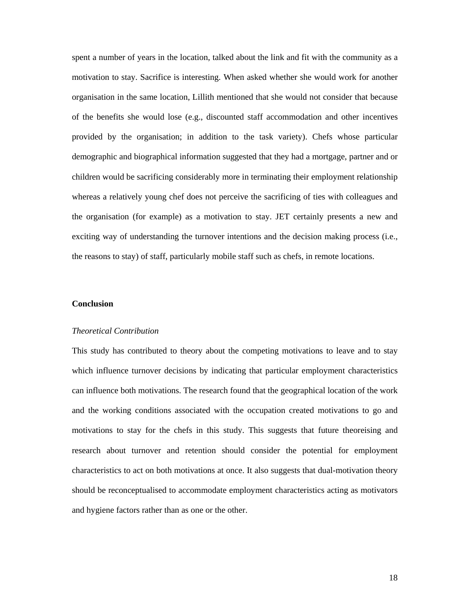spent a number of years in the location, talked about the link and fit with the community as a motivation to stay. Sacrifice is interesting. When asked whether she would work for another organisation in the same location, Lillith mentioned that she would not consider that because of the benefits she would lose (e.g., discounted staff accommodation and other incentives provided by the organisation; in addition to the task variety). Chefs whose particular demographic and biographical information suggested that they had a mortgage, partner and or children would be sacrificing considerably more in terminating their employment relationship whereas a relatively young chef does not perceive the sacrificing of ties with colleagues and the organisation (for example) as a motivation to stay. JET certainly presents a new and exciting way of understanding the turnover intentions and the decision making process (i.e., the reasons to stay) of staff, particularly mobile staff such as chefs, in remote locations.

## **Conclusion**

#### *Theoretical Contribution*

This study has contributed to theory about the competing motivations to leave and to stay which influence turnover decisions by indicating that particular employment characteristics can influence both motivations. The research found that the geographical location of the work and the working conditions associated with the occupation created motivations to go and motivations to stay for the chefs in this study. This suggests that future theoreising and research about turnover and retention should consider the potential for employment characteristics to act on both motivations at once. It also suggests that dual-motivation theory should be reconceptualised to accommodate employment characteristics acting as motivators and hygiene factors rather than as one or the other.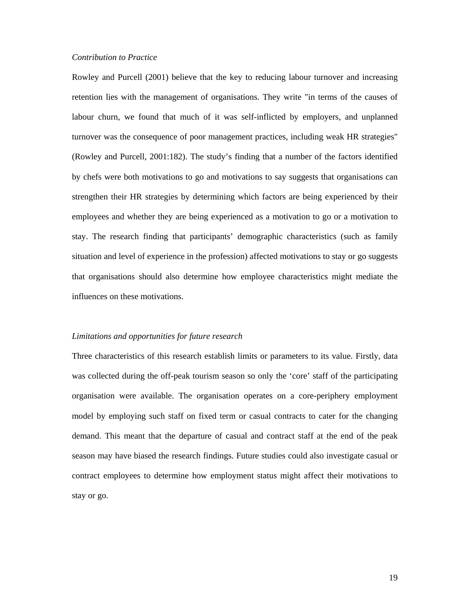## *Contribution to Practice*

Rowley and Purcell (2001) believe that the key to reducing labour turnover and increasing retention lies with the management of organisations. They write "in terms of the causes of labour churn, we found that much of it was self-inflicted by employers, and unplanned turnover was the consequence of poor management practices, including weak HR strategies" (Rowley and Purcell, 2001:182). The study's finding that a number of the factors identified by chefs were both motivations to go and motivations to say suggests that organisations can strengthen their HR strategies by determining which factors are being experienced by their employees and whether they are being experienced as a motivation to go or a motivation to stay. The research finding that participants' demographic characteristics (such as family situation and level of experience in the profession) affected motivations to stay or go suggests that organisations should also determine how employee characteristics might mediate the influences on these motivations.

## *Limitations and opportunities for future research*

Three characteristics of this research establish limits or parameters to its value. Firstly, data was collected during the off-peak tourism season so only the 'core' staff of the participating organisation were available. The organisation operates on a core-periphery employment model by employing such staff on fixed term or casual contracts to cater for the changing demand. This meant that the departure of casual and contract staff at the end of the peak season may have biased the research findings. Future studies could also investigate casual or contract employees to determine how employment status might affect their motivations to stay or go.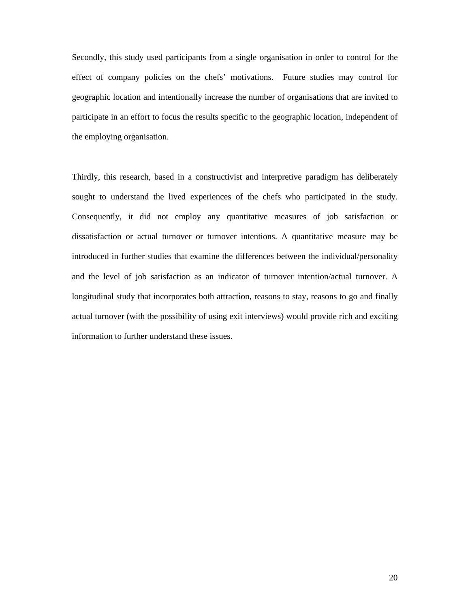Secondly, this study used participants from a single organisation in order to control for the effect of company policies on the chefs' motivations. Future studies may control for geographic location and intentionally increase the number of organisations that are invited to participate in an effort to focus the results specific to the geographic location, independent of the employing organisation.

Thirdly, this research, based in a constructivist and interpretive paradigm has deliberately sought to understand the lived experiences of the chefs who participated in the study. Consequently, it did not employ any quantitative measures of job satisfaction or dissatisfaction or actual turnover or turnover intentions. A quantitative measure may be introduced in further studies that examine the differences between the individual/personality and the level of job satisfaction as an indicator of turnover intention/actual turnover. A longitudinal study that incorporates both attraction, reasons to stay, reasons to go and finally actual turnover (with the possibility of using exit interviews) would provide rich and exciting information to further understand these issues.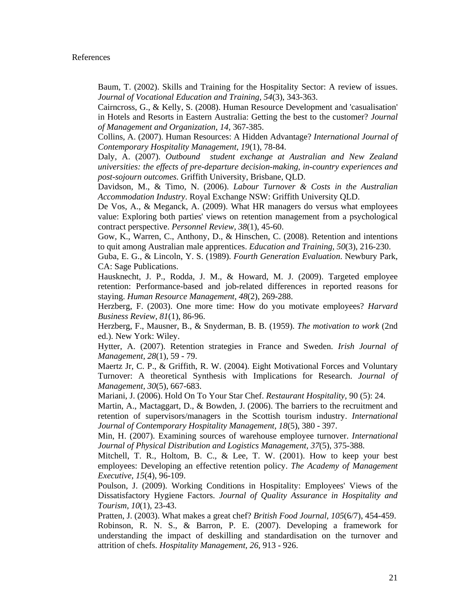Baum, T. (2002). Skills and Training for the Hospitality Sector: A review of issues. *Journal of Vocational Education and Training, 54*(3), 343-363.

Cairncross, G., & Kelly, S. (2008). Human Resource Development and 'casualisation' in Hotels and Resorts in Eastern Australia: Getting the best to the customer? *Journal of Management and Organization, 14*, 367-385.

Collins, A. (2007). Human Resources: A Hidden Advantage? *International Journal of Contemporary Hospitality Management, 19*(1), 78-84.

Daly, A. (2007). *Outbound student exchange at Australian and New Zealand universities: the effects of pre-departure decision-making, in-country experiences and post-sojourn outcomes.* Griffith University, Brisbane, QLD.

Davidson, M., & Timo, N. (2006). *Labour Turnover & Costs in the Australian Accommodation Industry*. Royal Exchange NSW: Griffith University QLD.

De Vos, A., & Meganck, A. (2009). What HR managers do versus what employees value: Exploring both parties' views on retention management from a psychological contract perspective. *Personnel Review, 38*(1), 45-60.

Gow, K., Warren, C., Anthony, D., & Hinschen, C. (2008). Retention and intentions to quit among Australian male apprentices. *Education and Training, 50*(3), 216-230.

Guba, E. G., & Lincoln, Y. S. (1989). *Fourth Generation Evaluation*. Newbury Park, CA: Sage Publications.

Hausknecht, J. P., Rodda, J. M., & Howard, M. J. (2009). Targeted employee retention: Performance-based and job-related differences in reported reasons for staying. *Human Resource Management, 48*(2), 269-288.

Herzberg, F. (2003). One more time: How do you motivate employees? *Harvard Business Review, 81*(1), 86-96.

Herzberg, F., Mausner, B., & Snyderman, B. B. (1959). *The motivation to work* (2nd ed.). New York: Wiley.

Hytter, A. (2007). Retention strategies in France and Sweden. *Irish Journal of Management, 28*(1), 59 - 79.

Maertz Jr, C. P., & Griffith, R. W. (2004). Eight Motivational Forces and Voluntary Turnover: A theoretical Synthesis with Implications for Research. *Journal of Management, 30*(5), 667-683.

Mariani, J. (2006). Hold On To Your Star Chef. *Restaurant Hospitality,* 90 (5): 24.

Martin, A., Mactaggart, D., & Bowden, J. (2006). The barriers to the recruitment and retention of supervisors/managers in the Scottish tourism industry. *International Journal of Contemporary Hospitality Management, 18*(5), 380 - 397.

Min, H. (2007). Examining sources of warehouse employee turnover. *International Journal of Physical Distribution and Logistics Management, 37*(5), 375-388.

Mitchell, T. R., Holtom, B. C., & Lee, T. W. (2001). How to keep your best employees: Developing an effective retention policy. *The Academy of Management Executive, 15*(4), 96-109.

Poulson, J. (2009). Working Conditions in Hospitality: Employees' Views of the Dissatisfactory Hygiene Factors. *Journal of Quality Assurance in Hospitality and Tourism, 10*(1), 23-43.

Pratten, J. (2003). What makes a great chef? *British Food Journal, 105*(6/7), 454-459. Robinson, R. N. S., & Barron, P. E. (2007). Developing a framework for understanding the impact of deskilling and standardisation on the turnover and attrition of chefs. *Hospitality Management, 26*, 913 - 926.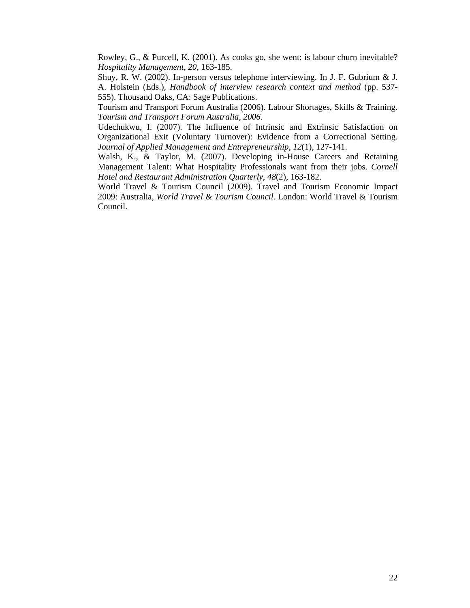Rowley, G., & Purcell, K. (2001). As cooks go, she went: is labour churn inevitable? *Hospitality Management, 20*, 163-185.

Shuy, R. W. (2002). In-person versus telephone interviewing. In J. F. Gubrium & J. A. Holstein (Eds.), *Handbook of interview research context and method* (pp. 537- 555). Thousand Oaks, CA: Sage Publications.

Tourism and Transport Forum Australia (2006). Labour Shortages, Skills & Training. *Tourism and Transport Forum Australia, 2006*.

Udechukwu, I. (2007). The Influence of Intrinsic and Extrinsic Satisfaction on Organizational Exit (Voluntary Turnover): Evidence from a Correctional Setting. *Journal of Applied Management and Entrepreneurship, 12*(1), 127-141.

Walsh, K., & Taylor, M. (2007). Developing in-House Careers and Retaining Management Talent: What Hospitality Professionals want from their jobs. *Cornell Hotel and Restaurant Administration Quarterly, 48*(2), 163-182.

World Travel & Tourism Council (2009). Travel and Tourism Economic Impact 2009: Australia, *World Travel & Tourism Council*. London: World Travel & Tourism Council.